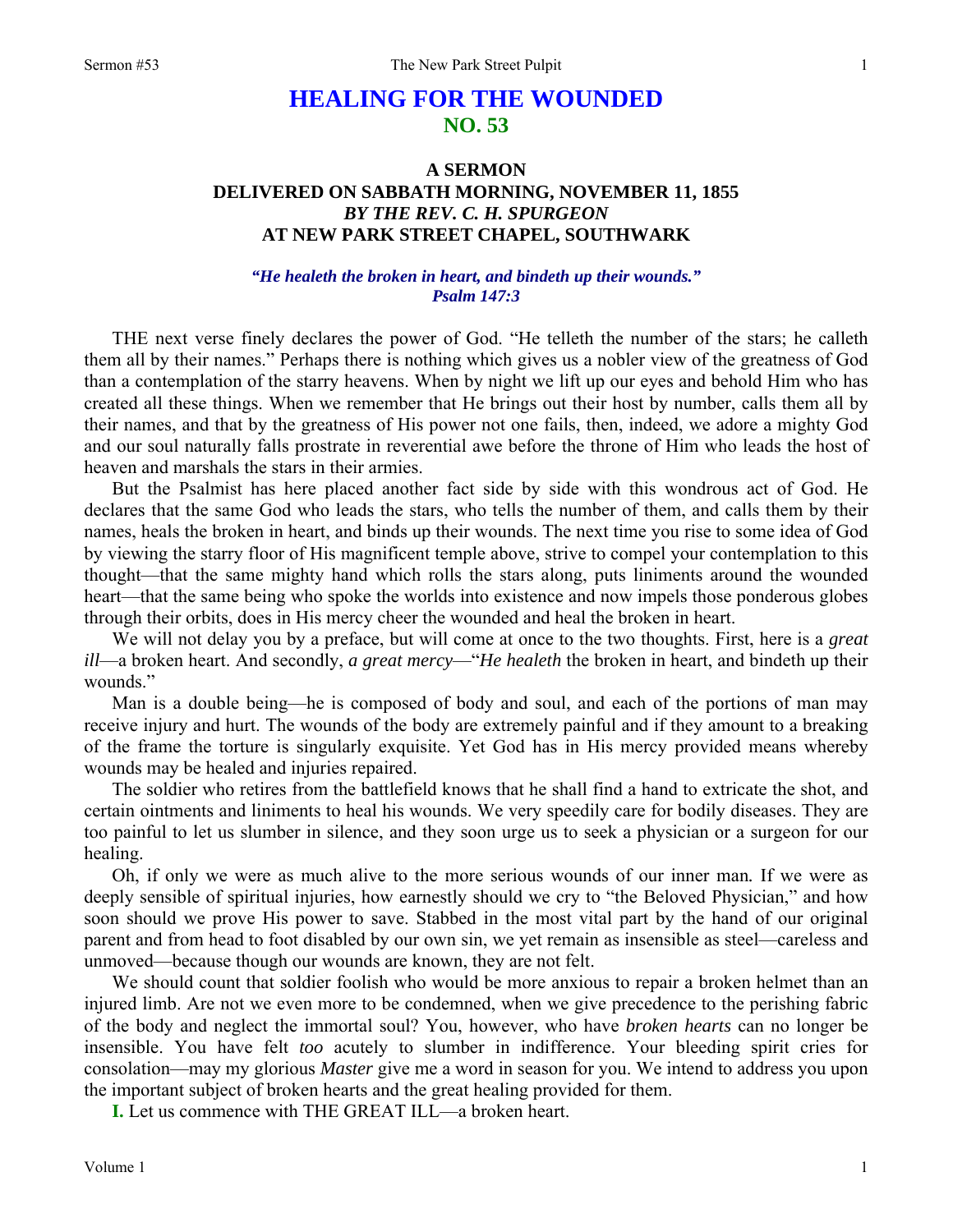## **HEALING FOR THE WOUNDED NO. 53**

### **A SERMON DELIVERED ON SABBATH MORNING, NOVEMBER 11, 1855**  *BY THE REV. C. H. SPURGEON*  **AT NEW PARK STREET CHAPEL, SOUTHWARK**

#### *"He healeth the broken in heart, and bindeth up their wounds." Psalm 147:3*

THE next verse finely declares the power of God. "He telleth the number of the stars; he calleth them all by their names." Perhaps there is nothing which gives us a nobler view of the greatness of God than a contemplation of the starry heavens. When by night we lift up our eyes and behold Him who has created all these things. When we remember that He brings out their host by number, calls them all by their names, and that by the greatness of His power not one fails, then, indeed, we adore a mighty God and our soul naturally falls prostrate in reverential awe before the throne of Him who leads the host of heaven and marshals the stars in their armies.

But the Psalmist has here placed another fact side by side with this wondrous act of God. He declares that the same God who leads the stars, who tells the number of them, and calls them by their names, heals the broken in heart, and binds up their wounds. The next time you rise to some idea of God by viewing the starry floor of His magnificent temple above, strive to compel your contemplation to this thought—that the same mighty hand which rolls the stars along, puts liniments around the wounded heart—that the same being who spoke the worlds into existence and now impels those ponderous globes through their orbits, does in His mercy cheer the wounded and heal the broken in heart.

We will not delay you by a preface, but will come at once to the two thoughts. First, here is a *great ill*—a broken heart. And secondly, *a great mercy*—"*He healeth* the broken in heart, and bindeth up their wounds."

Man is a double being—he is composed of body and soul, and each of the portions of man may receive injury and hurt. The wounds of the body are extremely painful and if they amount to a breaking of the frame the torture is singularly exquisite. Yet God has in His mercy provided means whereby wounds may be healed and injuries repaired.

The soldier who retires from the battlefield knows that he shall find a hand to extricate the shot, and certain ointments and liniments to heal his wounds. We very speedily care for bodily diseases. They are too painful to let us slumber in silence, and they soon urge us to seek a physician or a surgeon for our healing.

Oh, if only we were as much alive to the more serious wounds of our inner man*.* If we were as deeply sensible of spiritual injuries, how earnestly should we cry to "the Beloved Physician," and how soon should we prove His power to save. Stabbed in the most vital part by the hand of our original parent and from head to foot disabled by our own sin, we yet remain as insensible as steel—careless and unmoved—because though our wounds are known, they are not felt.

We should count that soldier foolish who would be more anxious to repair a broken helmet than an injured limb. Are not we even more to be condemned, when we give precedence to the perishing fabric of the body and neglect the immortal soul? You, however, who have *broken hearts* can no longer be insensible. You have felt *too* acutely to slumber in indifference. Your bleeding spirit cries for consolation—may my glorious *Master* give me a word in season for you. We intend to address you upon the important subject of broken hearts and the great healing provided for them.

**I.** Let us commence with THE GREAT ILL—a broken heart.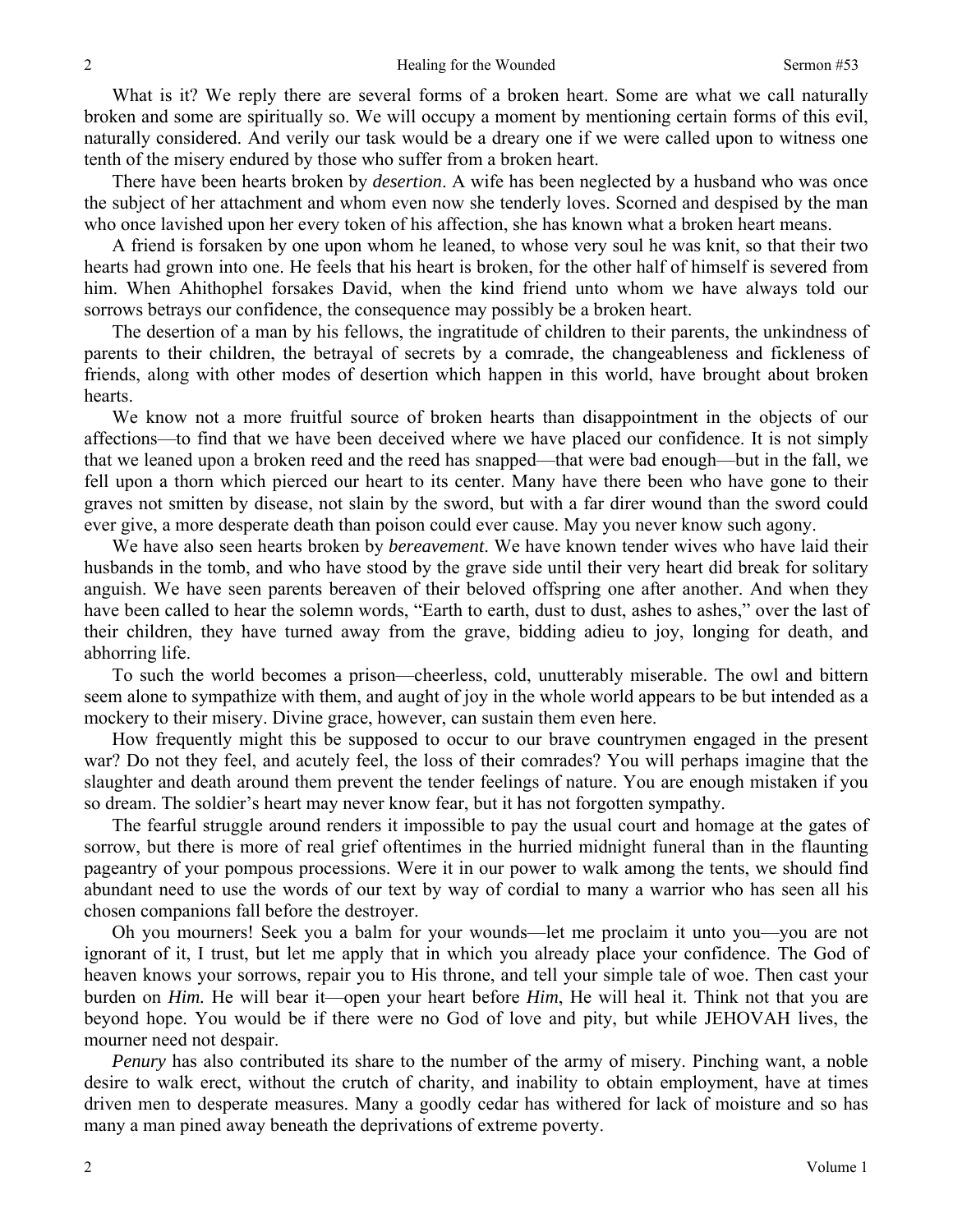What is it? We reply there are several forms of a broken heart. Some are what we call naturally broken and some are spiritually so. We will occupy a moment by mentioning certain forms of this evil, naturally considered. And verily our task would be a dreary one if we were called upon to witness one tenth of the misery endured by those who suffer from a broken heart.

There have been hearts broken by *desertion*. A wife has been neglected by a husband who was once the subject of her attachment and whom even now she tenderly loves. Scorned and despised by the man who once lavished upon her every token of his affection, she has known what a broken heart means.

A friend is forsaken by one upon whom he leaned, to whose very soul he was knit, so that their two hearts had grown into one. He feels that his heart is broken, for the other half of himself is severed from him. When Ahithophel forsakes David, when the kind friend unto whom we have always told our sorrows betrays our confidence, the consequence may possibly be a broken heart.

The desertion of a man by his fellows, the ingratitude of children to their parents, the unkindness of parents to their children, the betrayal of secrets by a comrade, the changeableness and fickleness of friends, along with other modes of desertion which happen in this world, have brought about broken hearts.

We know not a more fruitful source of broken hearts than disappointment in the objects of our affections—to find that we have been deceived where we have placed our confidence. It is not simply that we leaned upon a broken reed and the reed has snapped—that were bad enough—but in the fall, we fell upon a thorn which pierced our heart to its center. Many have there been who have gone to their graves not smitten by disease, not slain by the sword, but with a far direr wound than the sword could ever give, a more desperate death than poison could ever cause. May you never know such agony.

We have also seen hearts broken by *bereavement*. We have known tender wives who have laid their husbands in the tomb, and who have stood by the grave side until their very heart did break for solitary anguish. We have seen parents bereaven of their beloved offspring one after another. And when they have been called to hear the solemn words, "Earth to earth, dust to dust, ashes to ashes," over the last of their children, they have turned away from the grave, bidding adieu to joy, longing for death, and abhorring life.

To such the world becomes a prison—cheerless, cold, unutterably miserable. The owl and bittern seem alone to sympathize with them, and aught of joy in the whole world appears to be but intended as a mockery to their misery. Divine grace, however, can sustain them even here.

How frequently might this be supposed to occur to our brave countrymen engaged in the present war? Do not they feel, and acutely feel, the loss of their comrades? You will perhaps imagine that the slaughter and death around them prevent the tender feelings of nature. You are enough mistaken if you so dream. The soldier's heart may never know fear, but it has not forgotten sympathy.

The fearful struggle around renders it impossible to pay the usual court and homage at the gates of sorrow, but there is more of real grief oftentimes in the hurried midnight funeral than in the flaunting pageantry of your pompous processions. Were it in our power to walk among the tents, we should find abundant need to use the words of our text by way of cordial to many a warrior who has seen all his chosen companions fall before the destroyer.

Oh you mourners! Seek you a balm for your wounds—let me proclaim it unto you—you are not ignorant of it, I trust, but let me apply that in which you already place your confidence. The God of heaven knows your sorrows, repair you to His throne, and tell your simple tale of woe. Then cast your burden on *Him.* He will bear it—open your heart before *Him*, He will heal it. Think not that you are beyond hope. You would be if there were no God of love and pity, but while JEHOVAH lives, the mourner need not despair.

*Penury* has also contributed its share to the number of the army of misery. Pinching want, a noble desire to walk erect, without the crutch of charity, and inability to obtain employment, have at times driven men to desperate measures. Many a goodly cedar has withered for lack of moisture and so has many a man pined away beneath the deprivations of extreme poverty.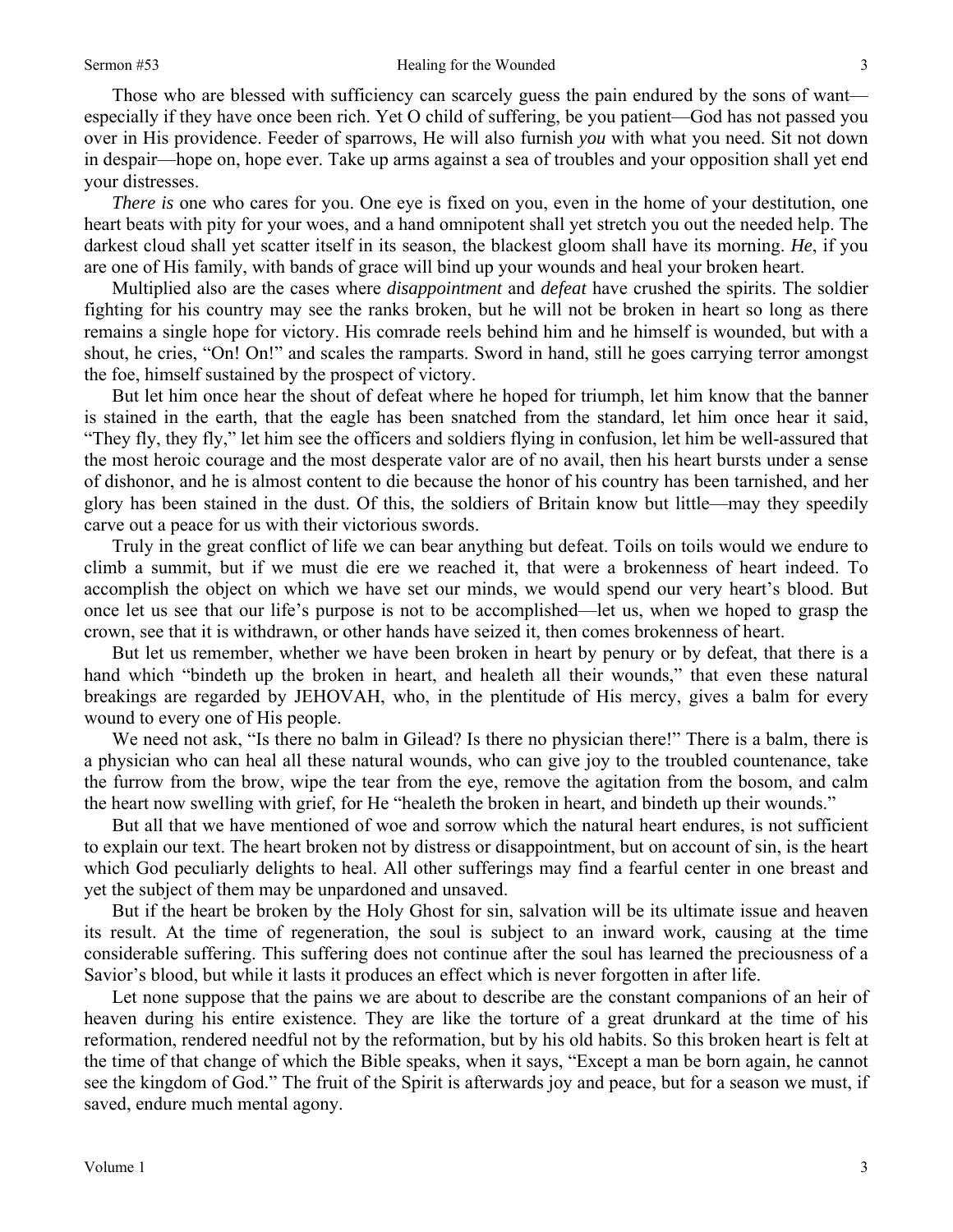Those who are blessed with sufficiency can scarcely guess the pain endured by the sons of want especially if they have once been rich. Yet O child of suffering, be you patient—God has not passed you over in His providence. Feeder of sparrows, He will also furnish *you* with what you need. Sit not down in despair—hope on, hope ever. Take up arms against a sea of troubles and your opposition shall yet end your distresses.

*There is* one who cares for you. One eye is fixed on you, even in the home of your destitution, one heart beats with pity for your woes, and a hand omnipotent shall yet stretch you out the needed help. The darkest cloud shall yet scatter itself in its season, the blackest gloom shall have its morning. *He*, if you are one of His family, with bands of grace will bind up your wounds and heal your broken heart.

Multiplied also are the cases where *disappointment* and *defeat* have crushed the spirits. The soldier fighting for his country may see the ranks broken, but he will not be broken in heart so long as there remains a single hope for victory. His comrade reels behind him and he himself is wounded, but with a shout, he cries, "On! On!" and scales the ramparts. Sword in hand, still he goes carrying terror amongst the foe, himself sustained by the prospect of victory.

But let him once hear the shout of defeat where he hoped for triumph, let him know that the banner is stained in the earth, that the eagle has been snatched from the standard, let him once hear it said, "They fly, they fly," let him see the officers and soldiers flying in confusion, let him be well-assured that the most heroic courage and the most desperate valor are of no avail, then his heart bursts under a sense of dishonor, and he is almost content to die because the honor of his country has been tarnished, and her glory has been stained in the dust. Of this, the soldiers of Britain know but little—may they speedily carve out a peace for us with their victorious swords.

Truly in the great conflict of life we can bear anything but defeat. Toils on toils would we endure to climb a summit, but if we must die ere we reached it, that were a brokenness of heart indeed. To accomplish the object on which we have set our minds, we would spend our very heart's blood. But once let us see that our life's purpose is not to be accomplished—let us, when we hoped to grasp the crown, see that it is withdrawn, or other hands have seized it, then comes brokenness of heart.

But let us remember, whether we have been broken in heart by penury or by defeat, that there is a hand which "bindeth up the broken in heart, and healeth all their wounds," that even these natural breakings are regarded by JEHOVAH, who, in the plentitude of His mercy, gives a balm for every wound to every one of His people.

We need not ask, "Is there no balm in Gilead? Is there no physician there!" There is a balm, there is a physician who can heal all these natural wounds, who can give joy to the troubled countenance, take the furrow from the brow, wipe the tear from the eye, remove the agitation from the bosom, and calm the heart now swelling with grief, for He "healeth the broken in heart, and bindeth up their wounds."

But all that we have mentioned of woe and sorrow which the natural heart endures, is not sufficient to explain our text. The heart broken not by distress or disappointment, but on account of sin, is the heart which God peculiarly delights to heal. All other sufferings may find a fearful center in one breast and yet the subject of them may be unpardoned and unsaved.

But if the heart be broken by the Holy Ghost for sin, salvation will be its ultimate issue and heaven its result. At the time of regeneration, the soul is subject to an inward work, causing at the time considerable suffering. This suffering does not continue after the soul has learned the preciousness of a Savior's blood, but while it lasts it produces an effect which is never forgotten in after life.

Let none suppose that the pains we are about to describe are the constant companions of an heir of heaven during his entire existence. They are like the torture of a great drunkard at the time of his reformation, rendered needful not by the reformation, but by his old habits. So this broken heart is felt at the time of that change of which the Bible speaks, when it says, "Except a man be born again, he cannot see the kingdom of God." The fruit of the Spirit is afterwards joy and peace, but for a season we must, if saved, endure much mental agony.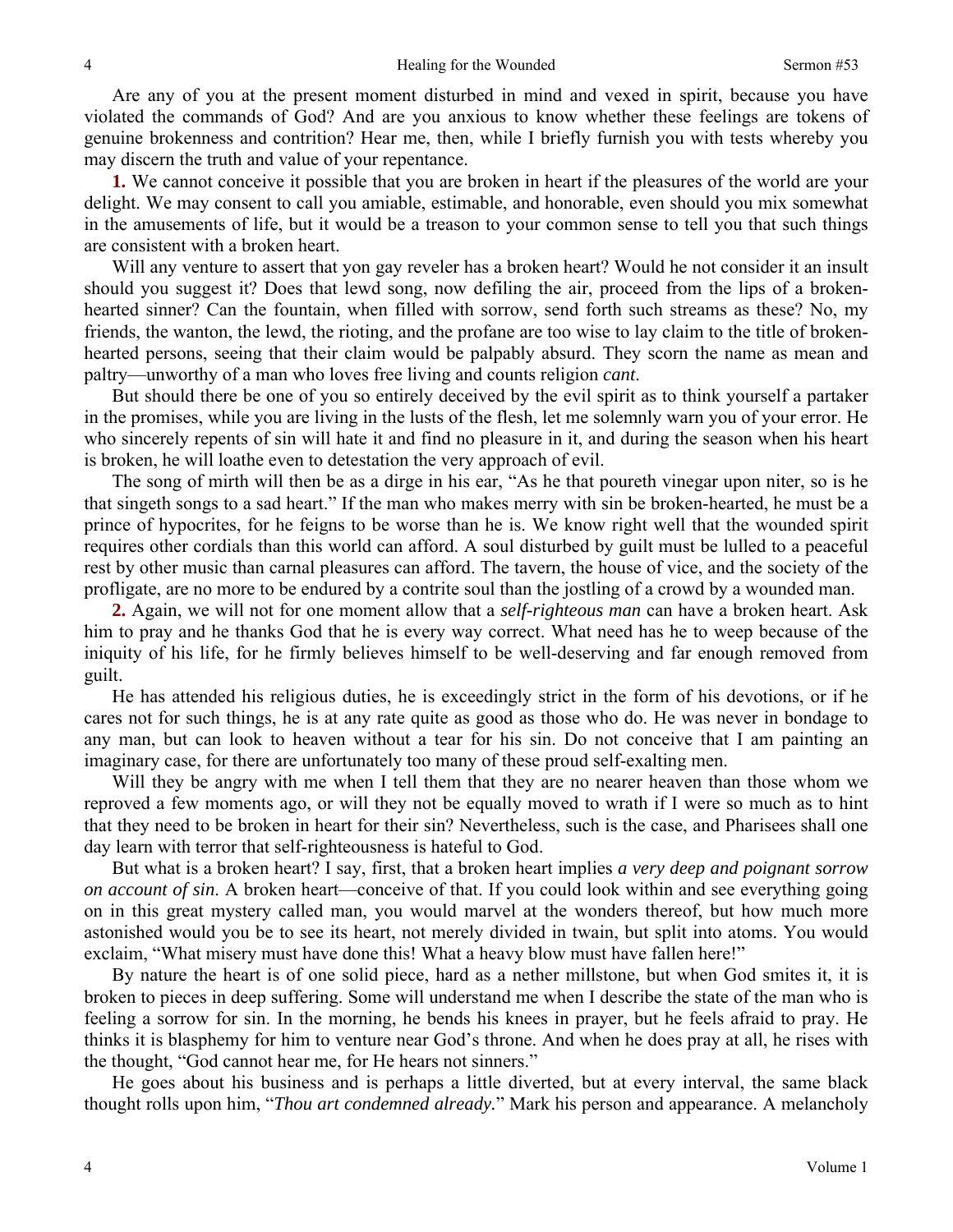Are any of you at the present moment disturbed in mind and vexed in spirit, because you have violated the commands of God? And are you anxious to know whether these feelings are tokens of genuine brokenness and contrition? Hear me, then, while I briefly furnish you with tests whereby you may discern the truth and value of your repentance.

**1.** We cannot conceive it possible that you are broken in heart if the pleasures of the world are your delight. We may consent to call you amiable, estimable, and honorable, even should you mix somewhat in the amusements of life, but it would be a treason to your common sense to tell you that such things are consistent with a broken heart.

Will any venture to assert that yon gay reveler has a broken heart? Would he not consider it an insult should you suggest it? Does that lewd song, now defiling the air, proceed from the lips of a brokenhearted sinner? Can the fountain, when filled with sorrow, send forth such streams as these? No, my friends, the wanton, the lewd, the rioting, and the profane are too wise to lay claim to the title of brokenhearted persons, seeing that their claim would be palpably absurd. They scorn the name as mean and paltry—unworthy of a man who loves free living and counts religion *cant*.

But should there be one of you so entirely deceived by the evil spirit as to think yourself a partaker in the promises, while you are living in the lusts of the flesh, let me solemnly warn you of your error. He who sincerely repents of sin will hate it and find no pleasure in it, and during the season when his heart is broken, he will loathe even to detestation the very approach of evil.

The song of mirth will then be as a dirge in his ear, "As he that poureth vinegar upon niter, so is he that singeth songs to a sad heart." If the man who makes merry with sin be broken-hearted, he must be a prince of hypocrites, for he feigns to be worse than he is. We know right well that the wounded spirit requires other cordials than this world can afford. A soul disturbed by guilt must be lulled to a peaceful rest by other music than carnal pleasures can afford. The tavern, the house of vice, and the society of the profligate, are no more to be endured by a contrite soul than the jostling of a crowd by a wounded man.

**2.** Again, we will not for one moment allow that a *self-righteous man* can have a broken heart. Ask him to pray and he thanks God that he is every way correct. What need has he to weep because of the iniquity of his life, for he firmly believes himself to be well-deserving and far enough removed from guilt.

He has attended his religious duties, he is exceedingly strict in the form of his devotions, or if he cares not for such things, he is at any rate quite as good as those who do. He was never in bondage to any man, but can look to heaven without a tear for his sin. Do not conceive that I am painting an imaginary case, for there are unfortunately too many of these proud self-exalting men.

Will they be angry with me when I tell them that they are no nearer heaven than those whom we reproved a few moments ago, or will they not be equally moved to wrath if I were so much as to hint that they need to be broken in heart for their sin? Nevertheless, such is the case, and Pharisees shall one day learn with terror that self-righteousness is hateful to God.

But what is a broken heart? I say, first, that a broken heart implies *a very deep and poignant sorrow on account of sin*. A broken heart—conceive of that. If you could look within and see everything going on in this great mystery called man, you would marvel at the wonders thereof, but how much more astonished would you be to see its heart, not merely divided in twain, but split into atoms. You would exclaim, "What misery must have done this! What a heavy blow must have fallen here!"

By nature the heart is of one solid piece, hard as a nether millstone, but when God smites it, it is broken to pieces in deep suffering. Some will understand me when I describe the state of the man who is feeling a sorrow for sin. In the morning, he bends his knees in prayer, but he feels afraid to pray. He thinks it is blasphemy for him to venture near God's throne. And when he does pray at all, he rises with the thought, "God cannot hear me, for He hears not sinners."

He goes about his business and is perhaps a little diverted, but at every interval, the same black thought rolls upon him, "*Thou art condemned already.*" Mark his person and appearance. A melancholy

4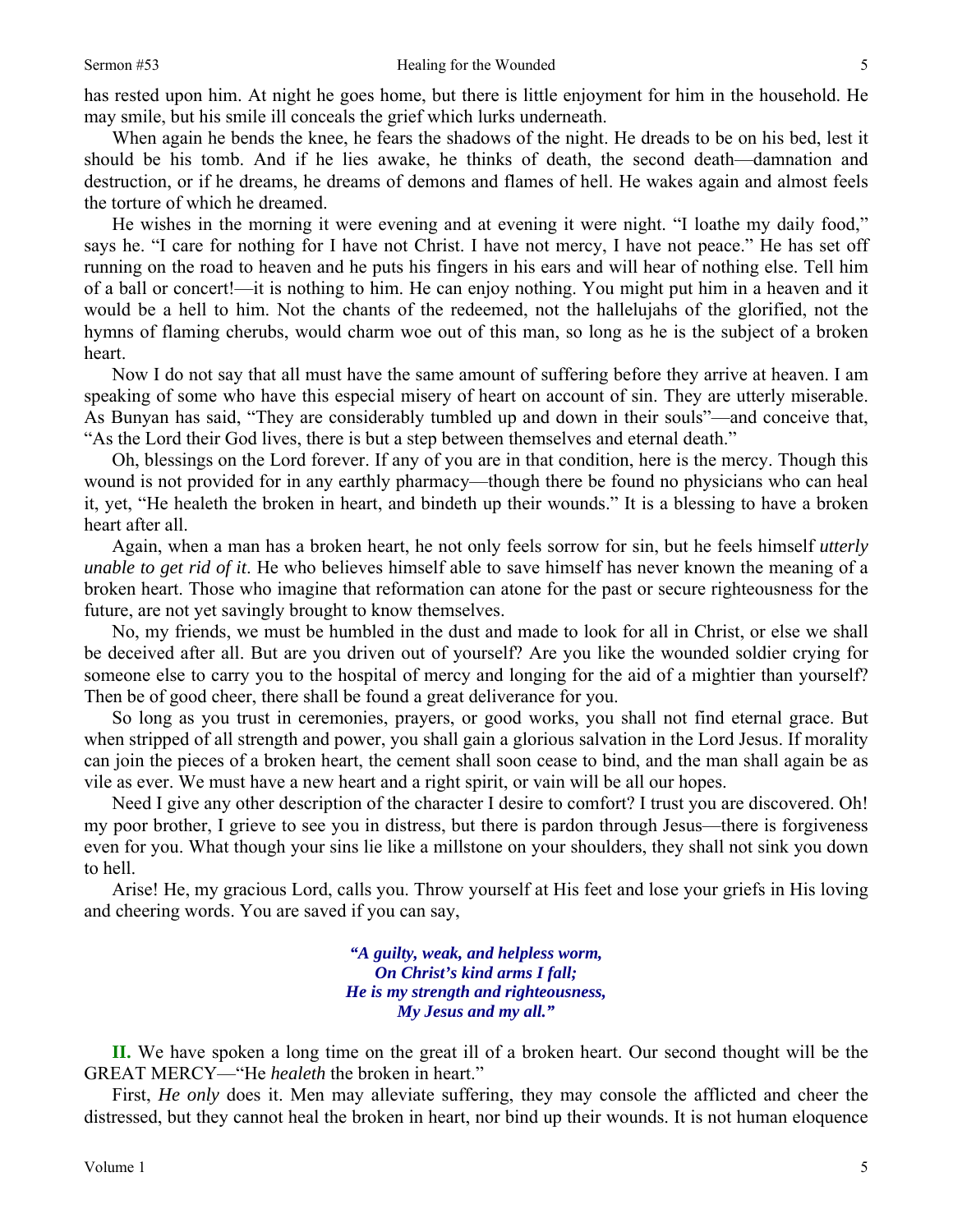has rested upon him. At night he goes home, but there is little enjoyment for him in the household. He may smile, but his smile ill conceals the grief which lurks underneath.

When again he bends the knee, he fears the shadows of the night. He dreads to be on his bed, lest it should be his tomb. And if he lies awake, he thinks of death, the second death—damnation and destruction, or if he dreams, he dreams of demons and flames of hell. He wakes again and almost feels the torture of which he dreamed.

He wishes in the morning it were evening and at evening it were night. "I loathe my daily food," says he. "I care for nothing for I have not Christ. I have not mercy, I have not peace." He has set off running on the road to heaven and he puts his fingers in his ears and will hear of nothing else. Tell him of a ball or concert!—it is nothing to him. He can enjoy nothing. You might put him in a heaven and it would be a hell to him. Not the chants of the redeemed, not the hallelujahs of the glorified, not the hymns of flaming cherubs, would charm woe out of this man, so long as he is the subject of a broken heart.

Now I do not say that all must have the same amount of suffering before they arrive at heaven. I am speaking of some who have this especial misery of heart on account of sin. They are utterly miserable. As Bunyan has said, "They are considerably tumbled up and down in their souls"—and conceive that, "As the Lord their God lives, there is but a step between themselves and eternal death."

Oh, blessings on the Lord forever. If any of you are in that condition, here is the mercy. Though this wound is not provided for in any earthly pharmacy—though there be found no physicians who can heal it, yet, "He healeth the broken in heart, and bindeth up their wounds." It is a blessing to have a broken heart after all.

Again, when a man has a broken heart, he not only feels sorrow for sin, but he feels himself *utterly unable to get rid of it*. He who believes himself able to save himself has never known the meaning of a broken heart. Those who imagine that reformation can atone for the past or secure righteousness for the future, are not yet savingly brought to know themselves.

No, my friends, we must be humbled in the dust and made to look for all in Christ, or else we shall be deceived after all. But are you driven out of yourself? Are you like the wounded soldier crying for someone else to carry you to the hospital of mercy and longing for the aid of a mightier than yourself? Then be of good cheer, there shall be found a great deliverance for you.

So long as you trust in ceremonies, prayers, or good works, you shall not find eternal grace. But when stripped of all strength and power, you shall gain a glorious salvation in the Lord Jesus. If morality can join the pieces of a broken heart, the cement shall soon cease to bind, and the man shall again be as vile as ever. We must have a new heart and a right spirit, or vain will be all our hopes.

Need I give any other description of the character I desire to comfort? I trust you are discovered. Oh! my poor brother, I grieve to see you in distress, but there is pardon through Jesus—there is forgiveness even for you. What though your sins lie like a millstone on your shoulders, they shall not sink you down to hell.

Arise! He, my gracious Lord, calls you. Throw yourself at His feet and lose your griefs in His loving and cheering words. You are saved if you can say,

> *"A guilty, weak, and helpless worm, On Christ's kind arms I fall; He is my strength and righteousness, My Jesus and my all."*

**II.** We have spoken a long time on the great ill of a broken heart. Our second thought will be the GREAT MERCY—"He *healeth* the broken in heart."

First, *He only* does it. Men may alleviate suffering, they may console the afflicted and cheer the distressed, but they cannot heal the broken in heart, nor bind up their wounds. It is not human eloquence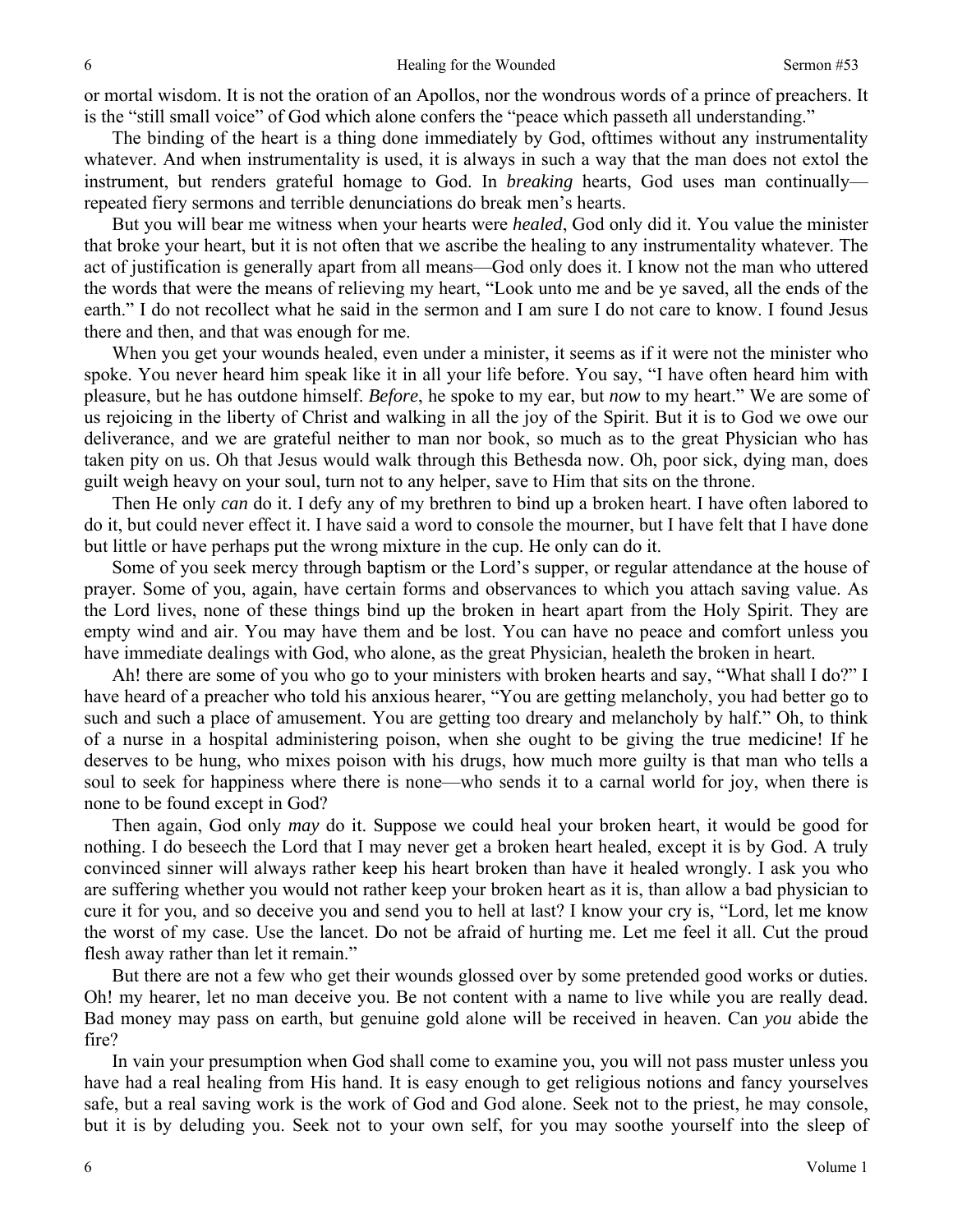or mortal wisdom. It is not the oration of an Apollos, nor the wondrous words of a prince of preachers. It is the "still small voice" of God which alone confers the "peace which passeth all understanding."

The binding of the heart is a thing done immediately by God, ofttimes without any instrumentality whatever. And when instrumentality is used, it is always in such a way that the man does not extol the instrument, but renders grateful homage to God. In *breaking* hearts, God uses man continually repeated fiery sermons and terrible denunciations do break men's hearts.

But you will bear me witness when your hearts were *healed*, God only did it. You value the minister that broke your heart, but it is not often that we ascribe the healing to any instrumentality whatever. The act of justification is generally apart from all means—God only does it. I know not the man who uttered the words that were the means of relieving my heart, "Look unto me and be ye saved, all the ends of the earth." I do not recollect what he said in the sermon and I am sure I do not care to know. I found Jesus there and then, and that was enough for me.

When you get your wounds healed, even under a minister, it seems as if it were not the minister who spoke. You never heard him speak like it in all your life before. You say, "I have often heard him with pleasure, but he has outdone himself. *Before*, he spoke to my ear, but *now* to my heart." We are some of us rejoicing in the liberty of Christ and walking in all the joy of the Spirit. But it is to God we owe our deliverance, and we are grateful neither to man nor book, so much as to the great Physician who has taken pity on us. Oh that Jesus would walk through this Bethesda now. Oh, poor sick, dying man, does guilt weigh heavy on your soul, turn not to any helper, save to Him that sits on the throne.

Then He only *can* do it. I defy any of my brethren to bind up a broken heart. I have often labored to do it, but could never effect it. I have said a word to console the mourner, but I have felt that I have done but little or have perhaps put the wrong mixture in the cup. He only can do it.

Some of you seek mercy through baptism or the Lord's supper, or regular attendance at the house of prayer. Some of you, again, have certain forms and observances to which you attach saving value. As the Lord lives, none of these things bind up the broken in heart apart from the Holy Spirit. They are empty wind and air. You may have them and be lost. You can have no peace and comfort unless you have immediate dealings with God, who alone, as the great Physician, healeth the broken in heart.

Ah! there are some of you who go to your ministers with broken hearts and say, "What shall I do?" I have heard of a preacher who told his anxious hearer, "You are getting melancholy, you had better go to such and such a place of amusement. You are getting too dreary and melancholy by half." Oh, to think of a nurse in a hospital administering poison, when she ought to be giving the true medicine! If he deserves to be hung, who mixes poison with his drugs, how much more guilty is that man who tells a soul to seek for happiness where there is none—who sends it to a carnal world for joy, when there is none to be found except in God?

Then again, God only *may* do it. Suppose we could heal your broken heart, it would be good for nothing. I do beseech the Lord that I may never get a broken heart healed, except it is by God. A truly convinced sinner will always rather keep his heart broken than have it healed wrongly. I ask you who are suffering whether you would not rather keep your broken heart as it is, than allow a bad physician to cure it for you, and so deceive you and send you to hell at last? I know your cry is, "Lord, let me know the worst of my case. Use the lancet. Do not be afraid of hurting me. Let me feel it all. Cut the proud flesh away rather than let it remain."

But there are not a few who get their wounds glossed over by some pretended good works or duties. Oh! my hearer, let no man deceive you. Be not content with a name to live while you are really dead. Bad money may pass on earth, but genuine gold alone will be received in heaven. Can *you* abide the fire?

In vain your presumption when God shall come to examine you, you will not pass muster unless you have had a real healing from His hand. It is easy enough to get religious notions and fancy yourselves safe, but a real saving work is the work of God and God alone. Seek not to the priest, he may console, but it is by deluding you. Seek not to your own self, for you may soothe yourself into the sleep of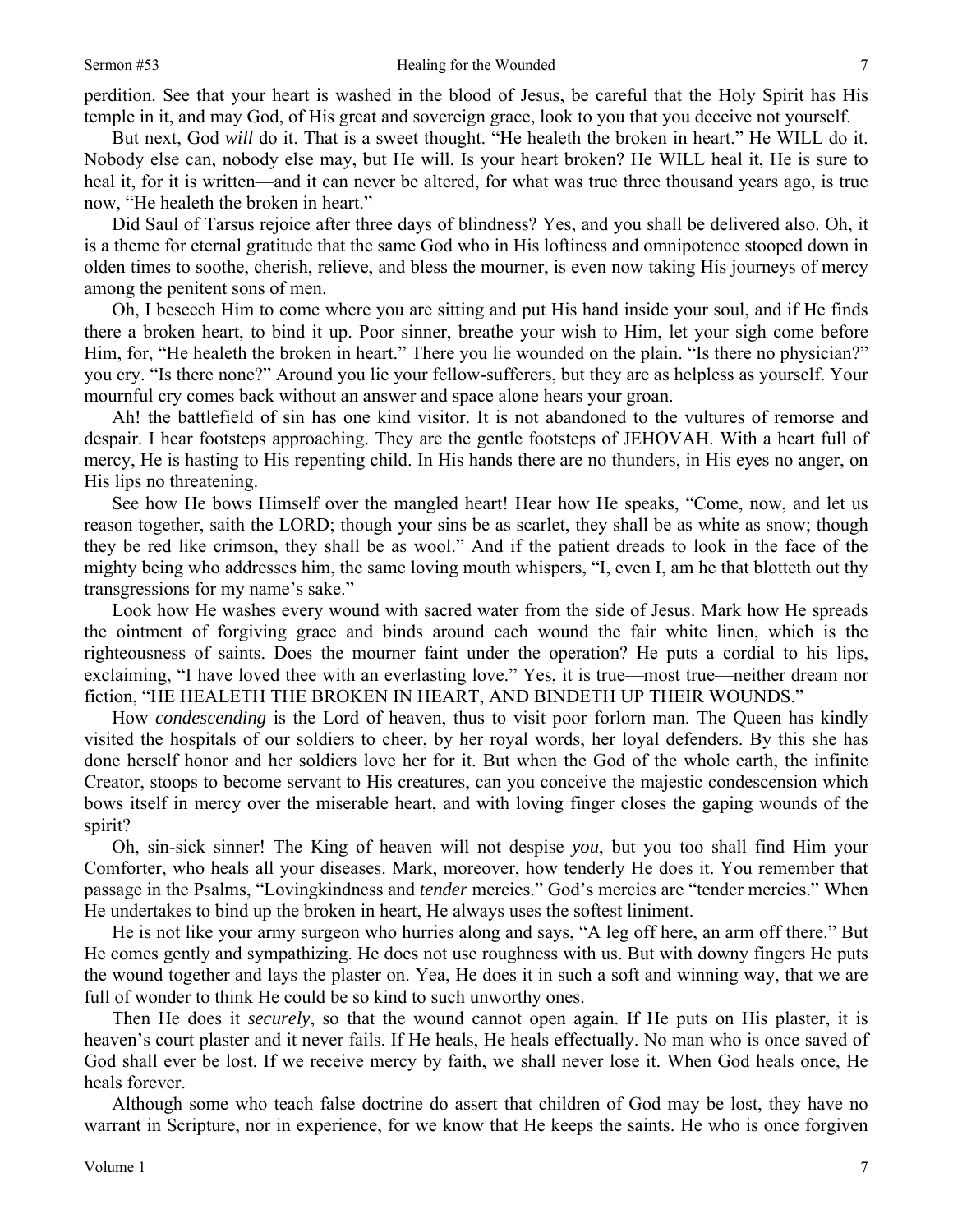perdition. See that your heart is washed in the blood of Jesus, be careful that the Holy Spirit has His temple in it, and may God, of His great and sovereign grace, look to you that you deceive not yourself.

But next, God *will* do it. That is a sweet thought. "He healeth the broken in heart." He WILL do it. Nobody else can, nobody else may, but He will. Is your heart broken? He WILL heal it, He is sure to heal it, for it is written—and it can never be altered, for what was true three thousand years ago, is true now, "He healeth the broken in heart."

Did Saul of Tarsus rejoice after three days of blindness? Yes, and you shall be delivered also. Oh, it is a theme for eternal gratitude that the same God who in His loftiness and omnipotence stooped down in olden times to soothe, cherish, relieve, and bless the mourner, is even now taking His journeys of mercy among the penitent sons of men.

Oh, I beseech Him to come where you are sitting and put His hand inside your soul, and if He finds there a broken heart, to bind it up. Poor sinner, breathe your wish to Him, let your sigh come before Him, for, "He healeth the broken in heart." There you lie wounded on the plain. "Is there no physician?" you cry. "Is there none?" Around you lie your fellow-sufferers, but they are as helpless as yourself. Your mournful cry comes back without an answer and space alone hears your groan.

Ah! the battlefield of sin has one kind visitor. It is not abandoned to the vultures of remorse and despair. I hear footsteps approaching. They are the gentle footsteps of JEHOVAH. With a heart full of mercy, He is hasting to His repenting child. In His hands there are no thunders, in His eyes no anger, on His lips no threatening.

See how He bows Himself over the mangled heart! Hear how He speaks, "Come, now, and let us reason together, saith the LORD; though your sins be as scarlet, they shall be as white as snow; though they be red like crimson, they shall be as wool." And if the patient dreads to look in the face of the mighty being who addresses him, the same loving mouth whispers, "I, even I, am he that blotteth out thy transgressions for my name's sake."

Look how He washes every wound with sacred water from the side of Jesus. Mark how He spreads the ointment of forgiving grace and binds around each wound the fair white linen, which is the righteousness of saints. Does the mourner faint under the operation? He puts a cordial to his lips, exclaiming, "I have loved thee with an everlasting love." Yes, it is true—most true—neither dream nor fiction, "HE HEALETH THE BROKEN IN HEART, AND BINDETH UP THEIR WOUNDS."

How *condescending* is the Lord of heaven, thus to visit poor forlorn man. The Queen has kindly visited the hospitals of our soldiers to cheer, by her royal words, her loyal defenders. By this she has done herself honor and her soldiers love her for it. But when the God of the whole earth, the infinite Creator, stoops to become servant to His creatures, can you conceive the majestic condescension which bows itself in mercy over the miserable heart, and with loving finger closes the gaping wounds of the spirit?

Oh, sin-sick sinner! The King of heaven will not despise *you*, but you too shall find Him your Comforter, who heals all your diseases. Mark, moreover, how tenderly He does it. You remember that passage in the Psalms, "Lovingkindness and *tender* mercies." God's mercies are "tender mercies." When He undertakes to bind up the broken in heart, He always uses the softest liniment.

He is not like your army surgeon who hurries along and says, "A leg off here, an arm off there." But He comes gently and sympathizing. He does not use roughness with us. But with downy fingers He puts the wound together and lays the plaster on. Yea, He does it in such a soft and winning way, that we are full of wonder to think He could be so kind to such unworthy ones.

Then He does it *securely*, so that the wound cannot open again. If He puts on His plaster, it is heaven's court plaster and it never fails. If He heals, He heals effectually. No man who is once saved of God shall ever be lost. If we receive mercy by faith, we shall never lose it. When God heals once, He heals forever.

Although some who teach false doctrine do assert that children of God may be lost, they have no warrant in Scripture, nor in experience, for we know that He keeps the saints. He who is once forgiven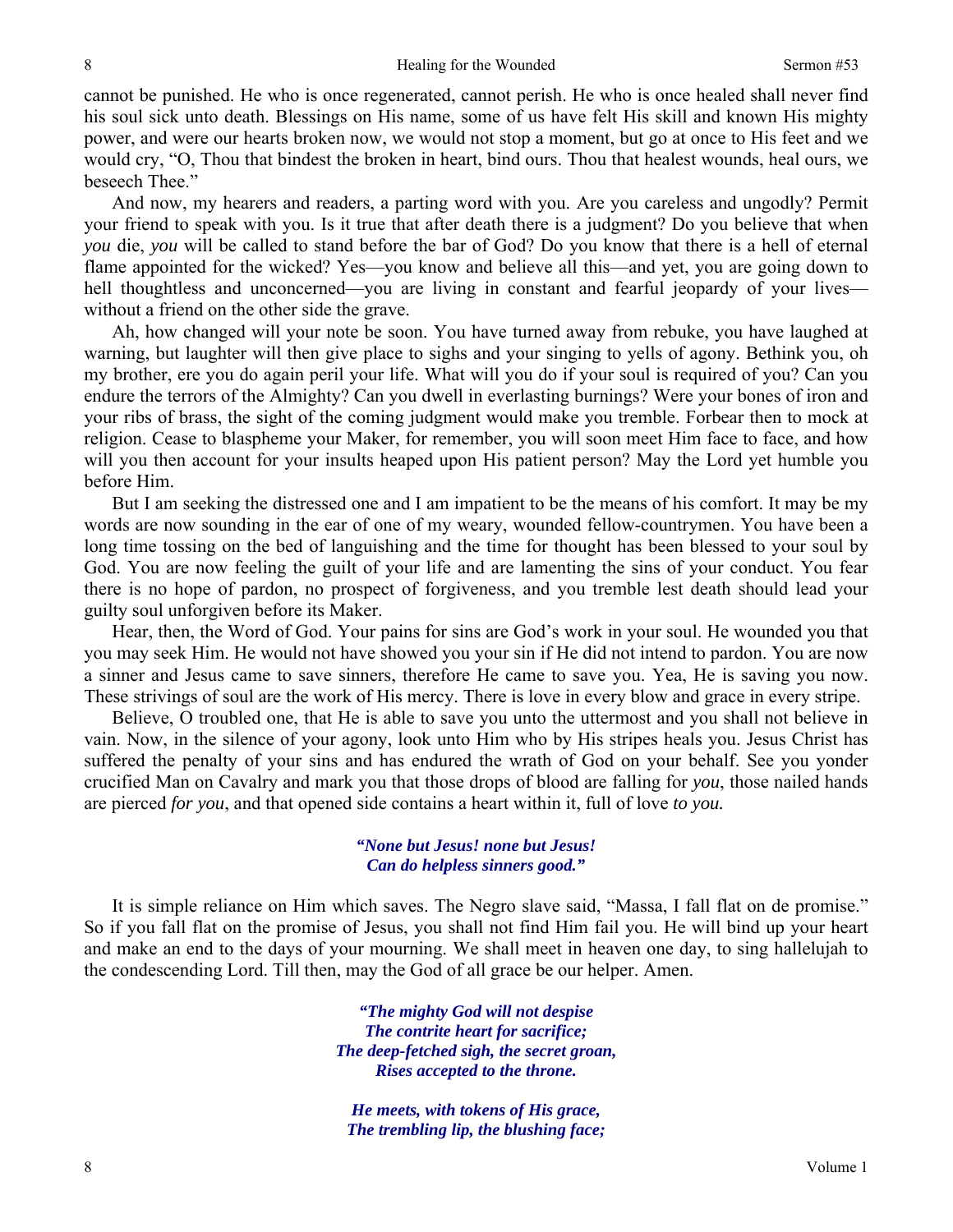cannot be punished. He who is once regenerated, cannot perish. He who is once healed shall never find his soul sick unto death. Blessings on His name, some of us have felt His skill and known His mighty power, and were our hearts broken now, we would not stop a moment, but go at once to His feet and we would cry, "O, Thou that bindest the broken in heart, bind ours. Thou that healest wounds, heal ours, we beseech Thee."

And now, my hearers and readers, a parting word with you. Are you careless and ungodly? Permit your friend to speak with you. Is it true that after death there is a judgment? Do you believe that when *you* die, *you* will be called to stand before the bar of God? Do you know that there is a hell of eternal flame appointed for the wicked? Yes—you know and believe all this—and yet, you are going down to hell thoughtless and unconcerned—you are living in constant and fearful jeopardy of your lives without a friend on the other side the grave.

Ah, how changed will your note be soon. You have turned away from rebuke, you have laughed at warning, but laughter will then give place to sighs and your singing to yells of agony. Bethink you, oh my brother, ere you do again peril your life. What will you do if your soul is required of you? Can you endure the terrors of the Almighty? Can you dwell in everlasting burnings? Were your bones of iron and your ribs of brass, the sight of the coming judgment would make you tremble. Forbear then to mock at religion. Cease to blaspheme your Maker, for remember, you will soon meet Him face to face, and how will you then account for your insults heaped upon His patient person? May the Lord yet humble you before Him.

But I am seeking the distressed one and I am impatient to be the means of his comfort. It may be my words are now sounding in the ear of one of my weary, wounded fellow-countrymen. You have been a long time tossing on the bed of languishing and the time for thought has been blessed to your soul by God. You are now feeling the guilt of your life and are lamenting the sins of your conduct. You fear there is no hope of pardon, no prospect of forgiveness, and you tremble lest death should lead your guilty soul unforgiven before its Maker.

Hear, then, the Word of God. Your pains for sins are God's work in your soul. He wounded you that you may seek Him. He would not have showed you your sin if He did not intend to pardon. You are now a sinner and Jesus came to save sinners, therefore He came to save you. Yea, He is saving you now. These strivings of soul are the work of His mercy. There is love in every blow and grace in every stripe.

Believe, O troubled one, that He is able to save you unto the uttermost and you shall not believe in vain. Now, in the silence of your agony, look unto Him who by His stripes heals you. Jesus Christ has suffered the penalty of your sins and has endured the wrath of God on your behalf. See you yonder crucified Man on Cavalry and mark you that those drops of blood are falling for *you*, those nailed hands are pierced *for you*, and that opened side contains a heart within it, full of love *to you.* 

#### *"None but Jesus! none but Jesus! Can do helpless sinners good."*

It is simple reliance on Him which saves. The Negro slave said, "Massa, I fall flat on de promise." So if you fall flat on the promise of Jesus, you shall not find Him fail you. He will bind up your heart and make an end to the days of your mourning. We shall meet in heaven one day, to sing hallelujah to the condescending Lord. Till then, may the God of all grace be our helper. Amen.

> *"The mighty God will not despise The contrite heart for sacrifice; The deep-fetched sigh, the secret groan, Rises accepted to the throne.*

*He meets, with tokens of His grace, The trembling lip, the blushing face;* 

8